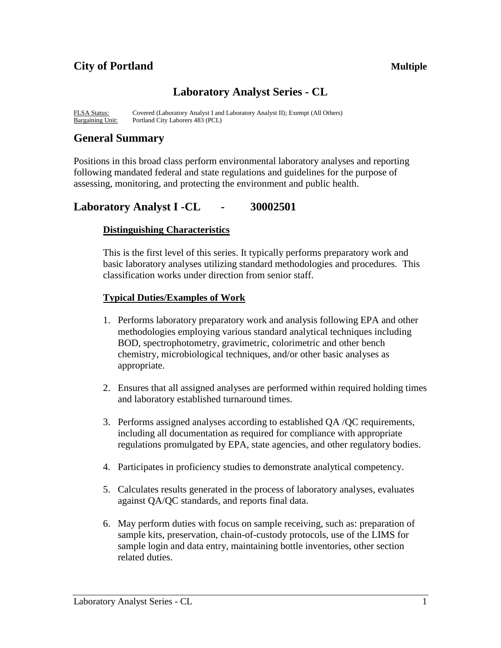## **City of Portland Multiple**

# **Laboratory Analyst Series - CL**

FLSA Status: Covered (Laboratory Analyst I and Laboratory Analyst II); Exempt (All Others) Bargaining Unit: Portland City Laborers 483 (PCL)

## **General Summary**

Positions in this broad class perform environmental laboratory analyses and reporting following mandated federal and state regulations and guidelines for the purpose of assessing, monitoring, and protecting the environment and public health.

## **Laboratory Analyst I -CL - 30002501**

#### **Distinguishing Characteristics**

This is the first level of this series. It typically performs preparatory work and basic laboratory analyses utilizing standard methodologies and procedures. This classification works under direction from senior staff.

#### **Typical Duties/Examples of Work**

- 1. Performs laboratory preparatory work and analysis following EPA and other methodologies employing various standard analytical techniques including BOD, spectrophotometry, gravimetric, colorimetric and other bench chemistry, microbiological techniques, and/or other basic analyses as appropriate.
- 2. Ensures that all assigned analyses are performed within required holding times and laboratory established turnaround times.
- 3. Performs assigned analyses according to established QA /QC requirements, including all documentation as required for compliance with appropriate regulations promulgated by EPA, state agencies, and other regulatory bodies.
- 4. Participates in proficiency studies to demonstrate analytical competency.
- 5. Calculates results generated in the process of laboratory analyses, evaluates against QA/QC standards, and reports final data.
- 6. May perform duties with focus on sample receiving, such as: preparation of sample kits, preservation, chain-of-custody protocols, use of the LIMS for sample login and data entry, maintaining bottle inventories, other section related duties.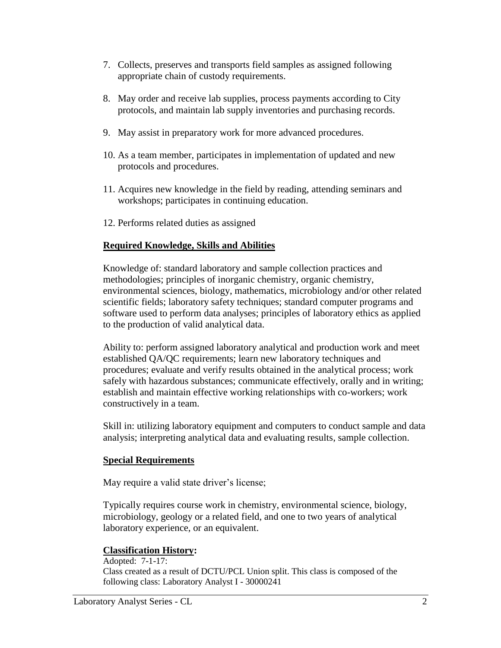- 7. Collects, preserves and transports field samples as assigned following appropriate chain of custody requirements.
- 8. May order and receive lab supplies, process payments according to City protocols, and maintain lab supply inventories and purchasing records.
- 9. May assist in preparatory work for more advanced procedures.
- 10. As a team member, participates in implementation of updated and new protocols and procedures.
- 11. Acquires new knowledge in the field by reading, attending seminars and workshops; participates in continuing education.
- 12. Performs related duties as assigned

#### **Required Knowledge, Skills and Abilities**

Knowledge of: standard laboratory and sample collection practices and methodologies; principles of inorganic chemistry, organic chemistry, environmental sciences, biology, mathematics, microbiology and/or other related scientific fields; laboratory safety techniques; standard computer programs and software used to perform data analyses; principles of laboratory ethics as applied to the production of valid analytical data.

Ability to: perform assigned laboratory analytical and production work and meet established QA/QC requirements; learn new laboratory techniques and procedures; evaluate and verify results obtained in the analytical process; work safely with hazardous substances; communicate effectively, orally and in writing; establish and maintain effective working relationships with co-workers; work constructively in a team.

Skill in: utilizing laboratory equipment and computers to conduct sample and data analysis; interpreting analytical data and evaluating results, sample collection.

#### **Special Requirements**

May require a valid state driver's license;

Typically requires course work in chemistry, environmental science, biology, microbiology, geology or a related field, and one to two years of analytical laboratory experience, or an equivalent.

## **Classification History:**

Adopted: 7-1-17: Class created as a result of DCTU/PCL Union split. This class is composed of the following class: Laboratory Analyst I - 30000241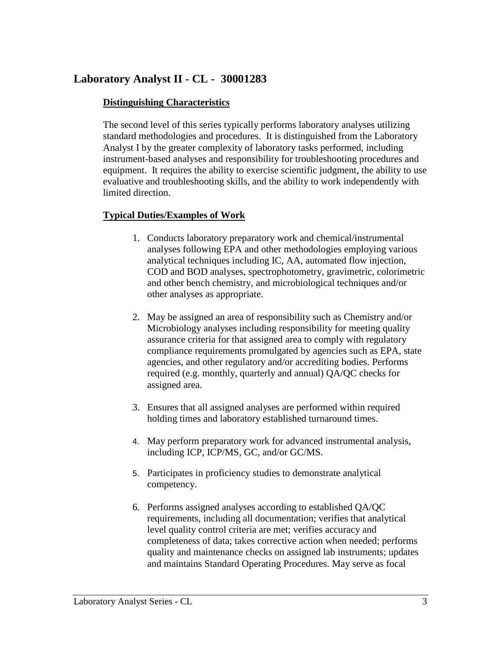## **Laboratory Analyst II - CL - 30001283**

#### **Distinguishing Characteristics**

The second level of this series typically performs laboratory analyses utilizing standard methodologies and procedures. It is distinguished from the Laboratory Analyst I by the greater complexity of laboratory tasks performed, including instrument-based analyses and responsibility for troubleshooting procedures and equipment. It requires the ability to exercise scientific judgment, the ability to use evaluative and troubleshooting skills, and the ability to work independently with limited direction.

#### **Typical Duties/Examples of Work**

- 1. Conducts laboratory preparatory work and chemical/instrumental analyses following EPA and other methodologies employing various analytical techniques including IC, AA, automated flow injection, COD and BOD analyses, spectrophotometry, gravimetric, colorimetric and other bench chemistry, and microbiological techniques and/or other analyses as appropriate.
- 2. May be assigned an area of responsibility such as Chemistry and/or Microbiology analyses including responsibility for meeting quality assurance criteria for that assigned area to comply with regulatory compliance requirements promulgated by agencies such as EPA, state agencies, and other regulatory and/or accrediting bodies. Performs required (e.g. monthly, quarterly and annual) QA/QC checks for assigned area.
- 3. Ensures that all assigned analyses are performed within required holding times and laboratory established turnaround times.
- 4. May perform preparatory work for advanced instrumental analysis, including ICP, ICP/MS, GC, and/or GC/MS.
- 5. Participates in proficiency studies to demonstrate analytical competency.
- 6. Performs assigned analyses according to established QA/QC requirements, including all documentation; verifies that analytical level quality control criteria are met; verifies accuracy and completeness of data; takes corrective action when needed; performs quality and maintenance checks on assigned lab instruments; updates and maintains Standard Operating Procedures. May serve as focal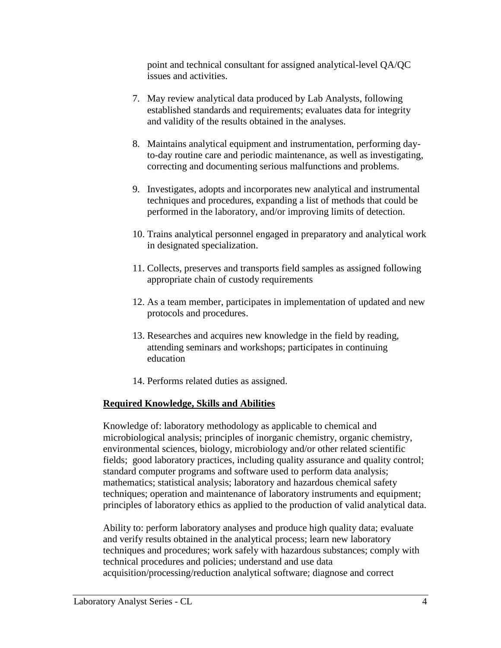point and technical consultant for assigned analytical-level QA/QC issues and activities.

- 7. May review analytical data produced by Lab Analysts, following established standards and requirements; evaluates data for integrity and validity of the results obtained in the analyses.
- 8. Maintains analytical equipment and instrumentation, performing dayto-day routine care and periodic maintenance, as well as investigating, correcting and documenting serious malfunctions and problems.
- 9. Investigates, adopts and incorporates new analytical and instrumental techniques and procedures, expanding a list of methods that could be performed in the laboratory, and/or improving limits of detection.
- 10. Trains analytical personnel engaged in preparatory and analytical work in designated specialization.
- 11. Collects, preserves and transports field samples as assigned following appropriate chain of custody requirements
- 12. As a team member, participates in implementation of updated and new protocols and procedures.
- 13. Researches and acquires new knowledge in the field by reading, attending seminars and workshops; participates in continuing education
- 14. Performs related duties as assigned.

#### **Required Knowledge, Skills and Abilities**

Knowledge of: laboratory methodology as applicable to chemical and microbiological analysis; principles of inorganic chemistry, organic chemistry, environmental sciences, biology, microbiology and/or other related scientific fields; good laboratory practices, including quality assurance and quality control; standard computer programs and software used to perform data analysis; mathematics; statistical analysis; laboratory and hazardous chemical safety techniques; operation and maintenance of laboratory instruments and equipment; principles of laboratory ethics as applied to the production of valid analytical data.

Ability to: perform laboratory analyses and produce high quality data; evaluate and verify results obtained in the analytical process; learn new laboratory techniques and procedures; work safely with hazardous substances; comply with technical procedures and policies; understand and use data acquisition/processing/reduction analytical software; diagnose and correct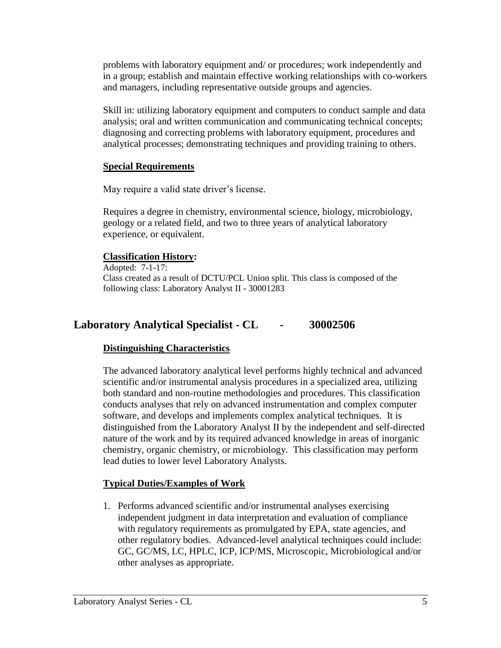problems with laboratory equipment and/ or procedures; work independently and in a group; establish and maintain effective working relationships with co-workers and managers, including representative outside groups and agencies.

Skill in: utilizing laboratory equipment and computers to conduct sample and data analysis; oral and written communication and communicating technical concepts; diagnosing and correcting problems with laboratory equipment, procedures and analytical processes; demonstrating techniques and providing training to others.

#### **Special Requirements**

May require a valid state driver's license.

Requires a degree in chemistry, environmental science, biology, microbiology, geology or a related field, and two to three years of analytical laboratory experience, or equivalent.

#### **Classification History:**

Adopted: 7-1-17: Class created as a result of DCTU/PCL Union split. This class is composed of the following class: Laboratory Analyst II - 30001283

# **Laboratory Analytical Specialist - CL - 30002506**

#### **Distinguishing Characteristics**

The advanced laboratory analytical level performs highly technical and advanced scientific and/or instrumental analysis procedures in a specialized area, utilizing both standard and non-routine methodologies and procedures. This classification conducts analyses that rely on advanced instrumentation and complex computer software, and develops and implements complex analytical techniques. It is distinguished from the Laboratory Analyst II by the independent and self-directed nature of the work and by its required advanced knowledge in areas of inorganic chemistry, organic chemistry, or microbiology. This classification may perform lead duties to lower level Laboratory Analysts.

## **Typical Duties/Examples of Work**

1. Performs advanced scientific and/or instrumental analyses exercising independent judgment in data interpretation and evaluation of compliance with regulatory requirements as promulgated by EPA, state agencies, and other regulatory bodies. Advanced-level analytical techniques could include: GC, GC/MS, LC, HPLC, ICP, ICP/MS, Microscopic, Microbiological and/or other analyses as appropriate.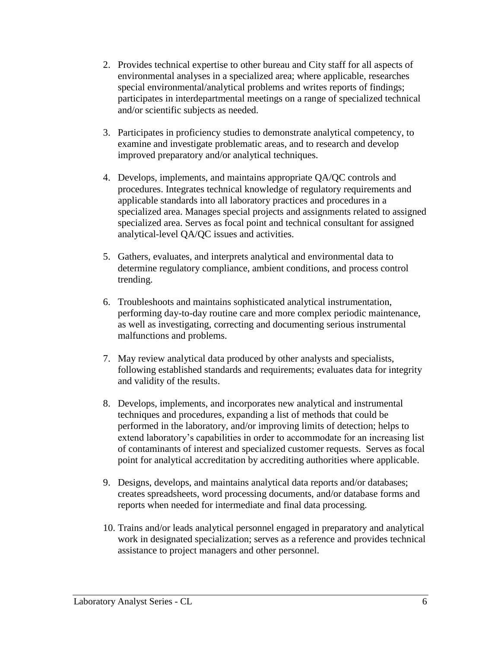- 2. Provides technical expertise to other bureau and City staff for all aspects of environmental analyses in a specialized area; where applicable, researches special environmental/analytical problems and writes reports of findings; participates in interdepartmental meetings on a range of specialized technical and/or scientific subjects as needed.
- 3. Participates in proficiency studies to demonstrate analytical competency, to examine and investigate problematic areas, and to research and develop improved preparatory and/or analytical techniques.
- 4. Develops, implements, and maintains appropriate QA/QC controls and procedures. Integrates technical knowledge of regulatory requirements and applicable standards into all laboratory practices and procedures in a specialized area. Manages special projects and assignments related to assigned specialized area. Serves as focal point and technical consultant for assigned analytical-level QA/QC issues and activities.
- 5. Gathers, evaluates, and interprets analytical and environmental data to determine regulatory compliance, ambient conditions, and process control trending.
- 6. Troubleshoots and maintains sophisticated analytical instrumentation, performing day-to-day routine care and more complex periodic maintenance, as well as investigating, correcting and documenting serious instrumental malfunctions and problems.
- 7. May review analytical data produced by other analysts and specialists, following established standards and requirements; evaluates data for integrity and validity of the results.
- 8. Develops, implements, and incorporates new analytical and instrumental techniques and procedures, expanding a list of methods that could be performed in the laboratory, and/or improving limits of detection; helps to extend laboratory's capabilities in order to accommodate for an increasing list of contaminants of interest and specialized customer requests. Serves as focal point for analytical accreditation by accrediting authorities where applicable.
- 9. Designs, develops, and maintains analytical data reports and/or databases; creates spreadsheets, word processing documents, and/or database forms and reports when needed for intermediate and final data processing.
- 10. Trains and/or leads analytical personnel engaged in preparatory and analytical work in designated specialization; serves as a reference and provides technical assistance to project managers and other personnel.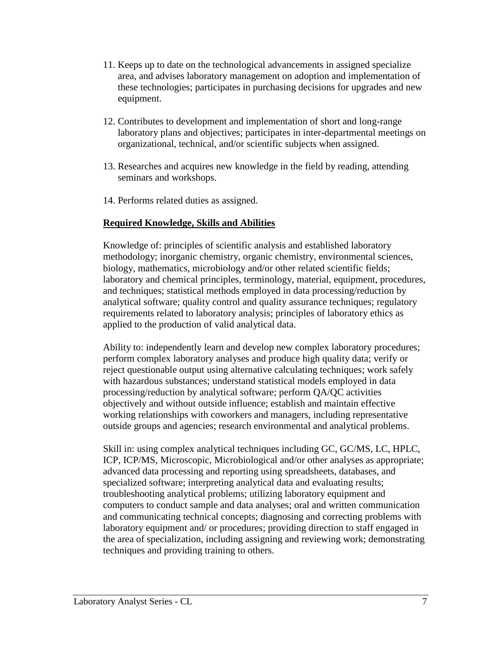- 11. Keeps up to date on the technological advancements in assigned specialize area, and advises laboratory management on adoption and implementation of these technologies; participates in purchasing decisions for upgrades and new equipment.
- 12. Contributes to development and implementation of short and long-range laboratory plans and objectives; participates in inter-departmental meetings on organizational, technical, and/or scientific subjects when assigned.
- 13. Researches and acquires new knowledge in the field by reading, attending seminars and workshops.
- 14. Performs related duties as assigned.

#### **Required Knowledge, Skills and Abilities**

Knowledge of: principles of scientific analysis and established laboratory methodology; inorganic chemistry, organic chemistry, environmental sciences, biology, mathematics, microbiology and/or other related scientific fields; laboratory and chemical principles, terminology, material, equipment, procedures, and techniques; statistical methods employed in data processing/reduction by analytical software; quality control and quality assurance techniques; regulatory requirements related to laboratory analysis; principles of laboratory ethics as applied to the production of valid analytical data.

Ability to: independently learn and develop new complex laboratory procedures; perform complex laboratory analyses and produce high quality data; verify or reject questionable output using alternative calculating techniques; work safely with hazardous substances; understand statistical models employed in data processing/reduction by analytical software; perform QA/QC activities objectively and without outside influence; establish and maintain effective working relationships with coworkers and managers, including representative outside groups and agencies; research environmental and analytical problems.

Skill in: using complex analytical techniques including GC, GC/MS, LC, HPLC, ICP, ICP/MS, Microscopic, Microbiological and/or other analyses as appropriate; advanced data processing and reporting using spreadsheets, databases, and specialized software; interpreting analytical data and evaluating results; troubleshooting analytical problems; utilizing laboratory equipment and computers to conduct sample and data analyses; oral and written communication and communicating technical concepts; diagnosing and correcting problems with laboratory equipment and/ or procedures; providing direction to staff engaged in the area of specialization, including assigning and reviewing work; demonstrating techniques and providing training to others.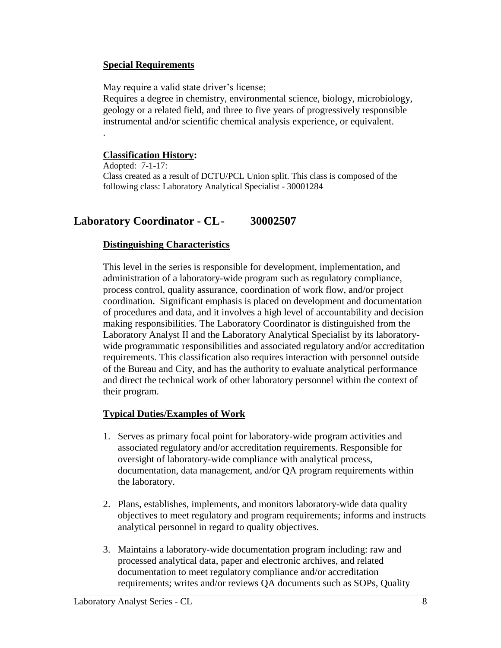#### **Special Requirements**

May require a valid state driver's license;

Requires a degree in chemistry, environmental science, biology, microbiology, geology or a related field, and three to five years of progressively responsible instrumental and/or scientific chemical analysis experience, or equivalent. .

#### **Classification History:**

Adopted: 7-1-17: Class created as a result of DCTU/PCL Union split. This class is composed of the following class: Laboratory Analytical Specialist - 30001284

# **Laboratory Coordinator - CL- 30002507**

#### **Distinguishing Characteristics**

This level in the series is responsible for development, implementation, and administration of a laboratory-wide program such as regulatory compliance, process control, quality assurance, coordination of work flow, and/or project coordination. Significant emphasis is placed on development and documentation of procedures and data, and it involves a high level of accountability and decision making responsibilities. The Laboratory Coordinator is distinguished from the Laboratory Analyst II and the Laboratory Analytical Specialist by its laboratorywide programmatic responsibilities and associated regulatory and/or accreditation requirements. This classification also requires interaction with personnel outside of the Bureau and City, and has the authority to evaluate analytical performance and direct the technical work of other laboratory personnel within the context of their program.

#### **Typical Duties/Examples of Work**

- 1. Serves as primary focal point for laboratory-wide program activities and associated regulatory and/or accreditation requirements. Responsible for oversight of laboratory-wide compliance with analytical process, documentation, data management, and/or QA program requirements within the laboratory.
- 2. Plans, establishes, implements, and monitors laboratory-wide data quality objectives to meet regulatory and program requirements; informs and instructs analytical personnel in regard to quality objectives.
- 3. Maintains a laboratory-wide documentation program including: raw and processed analytical data, paper and electronic archives, and related documentation to meet regulatory compliance and/or accreditation requirements; writes and/or reviews QA documents such as SOPs, Quality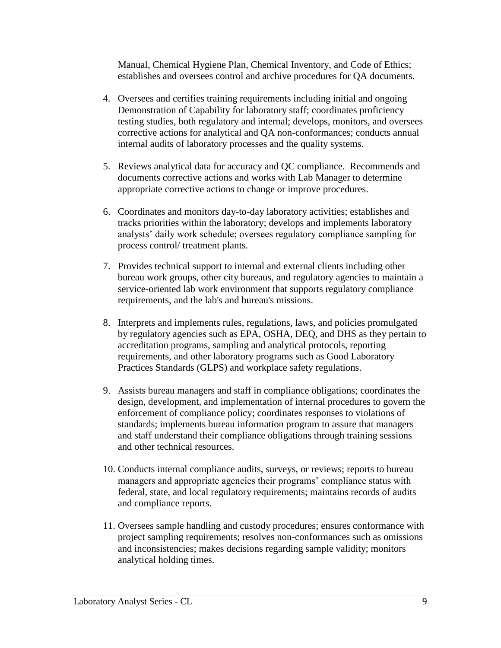Manual, Chemical Hygiene Plan, Chemical Inventory, and Code of Ethics; establishes and oversees control and archive procedures for QA documents.

- 4. Oversees and certifies training requirements including initial and ongoing Demonstration of Capability for laboratory staff; coordinates proficiency testing studies, both regulatory and internal; develops, monitors, and oversees corrective actions for analytical and QA non-conformances; conducts annual internal audits of laboratory processes and the quality systems.
- 5. Reviews analytical data for accuracy and QC compliance. Recommends and documents corrective actions and works with Lab Manager to determine appropriate corrective actions to change or improve procedures.
- 6. Coordinates and monitors day-to-day laboratory activities; establishes and tracks priorities within the laboratory; develops and implements laboratory analysts' daily work schedule; oversees regulatory compliance sampling for process control/ treatment plants.
- 7. Provides technical support to internal and external clients including other bureau work groups, other city bureaus, and regulatory agencies to maintain a service-oriented lab work environment that supports regulatory compliance requirements, and the lab's and bureau's missions.
- 8. Interprets and implements rules, regulations, laws, and policies promulgated by regulatory agencies such as EPA, OSHA, DEQ, and DHS as they pertain to accreditation programs, sampling and analytical protocols, reporting requirements, and other laboratory programs such as Good Laboratory Practices Standards (GLPS) and workplace safety regulations.
- 9. Assists bureau managers and staff in compliance obligations; coordinates the design, development, and implementation of internal procedures to govern the enforcement of compliance policy; coordinates responses to violations of standards; implements bureau information program to assure that managers and staff understand their compliance obligations through training sessions and other technical resources.
- 10. Conducts internal compliance audits, surveys, or reviews; reports to bureau managers and appropriate agencies their programs' compliance status with federal, state, and local regulatory requirements; maintains records of audits and compliance reports.
- 11. Oversees sample handling and custody procedures; ensures conformance with project sampling requirements; resolves non-conformances such as omissions and inconsistencies; makes decisions regarding sample validity; monitors analytical holding times.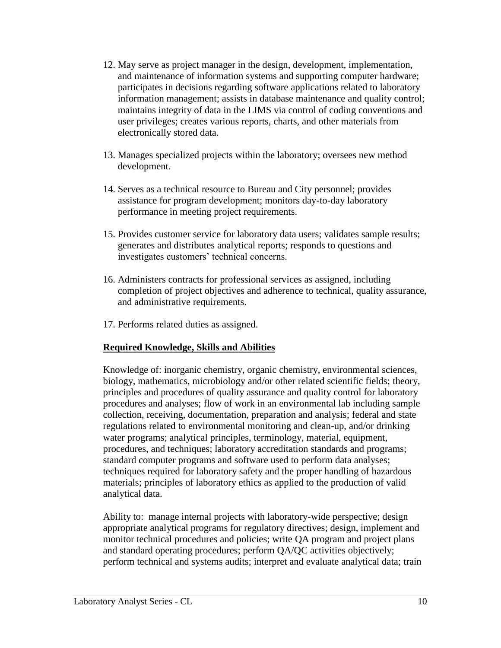- 12. May serve as project manager in the design, development, implementation, and maintenance of information systems and supporting computer hardware; participates in decisions regarding software applications related to laboratory information management; assists in database maintenance and quality control; maintains integrity of data in the LIMS via control of coding conventions and user privileges; creates various reports, charts, and other materials from electronically stored data.
- 13. Manages specialized projects within the laboratory; oversees new method development.
- 14. Serves as a technical resource to Bureau and City personnel; provides assistance for program development; monitors day-to-day laboratory performance in meeting project requirements.
- 15. Provides customer service for laboratory data users; validates sample results; generates and distributes analytical reports; responds to questions and investigates customers' technical concerns.
- 16. Administers contracts for professional services as assigned, including completion of project objectives and adherence to technical, quality assurance, and administrative requirements.
- 17. Performs related duties as assigned.

#### **Required Knowledge, Skills and Abilities**

Knowledge of: inorganic chemistry, organic chemistry, environmental sciences, biology, mathematics, microbiology and/or other related scientific fields; theory, principles and procedures of quality assurance and quality control for laboratory procedures and analyses; flow of work in an environmental lab including sample collection, receiving, documentation, preparation and analysis; federal and state regulations related to environmental monitoring and clean-up, and/or drinking water programs; analytical principles, terminology, material, equipment, procedures, and techniques; laboratory accreditation standards and programs; standard computer programs and software used to perform data analyses; techniques required for laboratory safety and the proper handling of hazardous materials; principles of laboratory ethics as applied to the production of valid analytical data.

Ability to: manage internal projects with laboratory-wide perspective; design appropriate analytical programs for regulatory directives; design, implement and monitor technical procedures and policies; write QA program and project plans and standard operating procedures; perform QA/QC activities objectively; perform technical and systems audits; interpret and evaluate analytical data; train